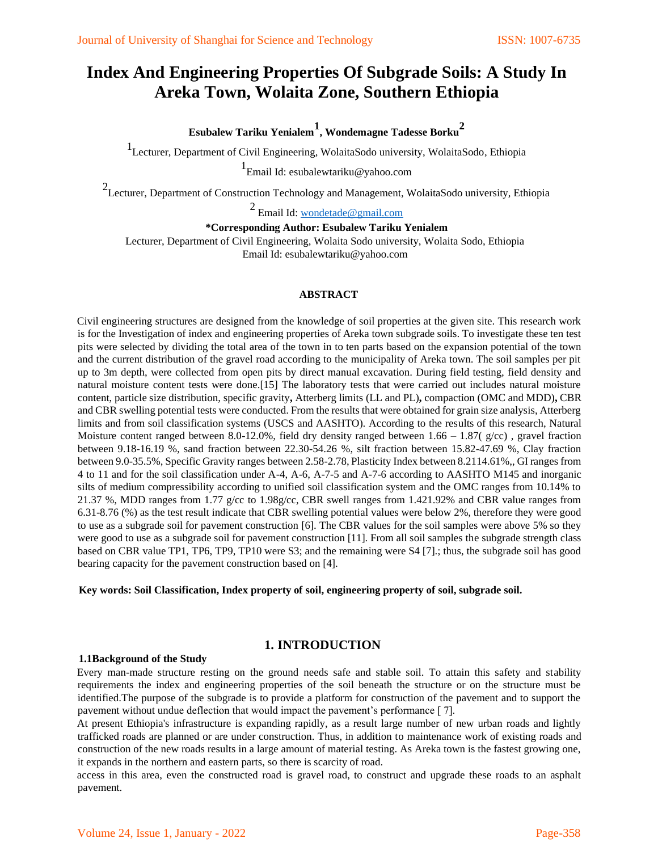# **Index And Engineering Properties Of Subgrade Soils: A Study In Areka Town, Wolaita Zone, Southern Ethiopia**

**Esubalew Tariku Yenialem<sup>1</sup> , Wondemagne Tadesse Borku<sup>2</sup>**

1 Lecturer, Department of Civil Engineering, WolaitaSodo university, WolaitaSodo, Ethiopia

1<br>Email Id: esubalewtariku@yahoo.com

<sup>2</sup> Lecturer, Department of Construction Technology and Management, WolaitaSodo university, Ethiopia

<sup>2</sup> Email Id: [wondetade@gmail.com](mailto:wondetade@gmail.com)

**\*Corresponding Author: Esubalew Tariku Yenialem**

Lecturer, Department of Civil Engineering, Wolaita Sodo university, Wolaita Sodo, Ethiopia Email Id: esubalewtariku@yahoo.com

#### **ABSTRACT**

Civil engineering structures are designed from the knowledge of soil properties at the given site. This research work is for the Investigation of index and engineering properties of Areka town subgrade soils. To investigate these ten test pits were selected by dividing the total area of the town in to ten parts based on the expansion potential of the town and the current distribution of the gravel road according to the municipality of Areka town. The soil samples per pit up to 3m depth, were collected from open pits by direct manual excavation. During field testing, field density and natural moisture content tests were done.[15] The laboratory tests that were carried out includes natural moisture content, particle size distribution, specific gravity**,** Atterberg limits (LL and PL)**,** compaction (OMC and MDD)**,** CBR and CBR swelling potential tests were conducted. From the results that were obtained for grain size analysis, Atterberg limits and from soil classification systems (USCS and AASHTO). According to the results of this research, Natural Moisture content ranged between 8.0-12.0%, field dry density ranged between  $1.66 - 1.87(g/cc)$ , gravel fraction between 9.18-16.19 %, sand fraction between 22.30-54.26 %, silt fraction between 15.82-47.69 %, Clay fraction between 9.0-35.5%, Specific Gravity ranges between 2.58-2.78, Plasticity Index between 8.2114.61%,, GI ranges from 4 to 11 and for the soil classification under A-4, A-6, A-7-5 and A-7-6 according to AASHTO M145 and inorganic silts of medium compressibility according to unified soil classification system and the OMC ranges from 10.14% to 21.37 %, MDD ranges from 1.77 g/cc to 1.98g/cc, CBR swell ranges from 1.421.92% and CBR value ranges from 6.31-8.76 (%) as the test result indicate that CBR swelling potential values were below 2%, therefore they were good to use as a subgrade soil for pavement construction [6]. The CBR values for the soil samples were above 5% so they were good to use as a subgrade soil for pavement construction [11]. From all soil samples the subgrade strength class based on CBR value TP1, TP6, TP9, TP10 were S3; and the remaining were S4 [7].; thus, the subgrade soil has good bearing capacity for the pavement construction based on [4].

**Key words: Soil Classification, Index property of soil, engineering property of soil, subgrade soil.** 

### **1. INTRODUCTION**

#### **1.1Background of the Study**

Every man-made structure resting on the ground needs safe and stable soil. To attain this safety and stability requirements the index and engineering properties of the soil beneath the structure or on the structure must be identified.The purpose of the subgrade is to provide a platform for construction of the pavement and to support the pavement without undue deflection that would impact the pavement's performance [ 7].

At present Ethiopia's infrastructure is expanding rapidly, as a result large number of new urban roads and lightly trafficked roads are planned or are under construction. Thus, in addition to maintenance work of existing roads and construction of the new roads results in a large amount of material testing. As Areka town is the fastest growing one, it expands in the northern and eastern parts, so there is scarcity of road.

access in this area, even the constructed road is gravel road, to construct and upgrade these roads to an asphalt pavement.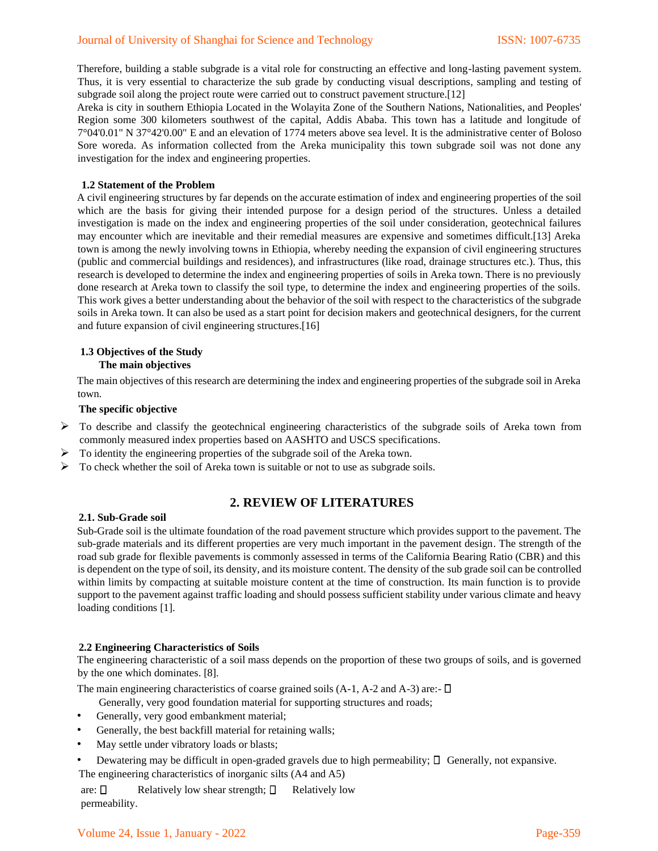#### Journal of University of Shanghai for Science and Technology ISSN: 1007-6735

Therefore, building a stable subgrade is a vital role for constructing an effective and long-lasting pavement system. Thus, it is very essential to characterize the sub grade by conducting visual descriptions, sampling and testing of subgrade soil along the project route were carried out to construct pavement structure.[12]

Areka is city in southern Ethiopia Located in the Wolayita Zone of the Southern Nations, Nationalities, and Peoples' Region some 300 kilometers southwest of the capital, Addis Ababa. This town has a latitude and longitude of 7°04'0.01" N 37°42'0.00" E and an elevation of 1774 meters above sea level. It is the administrative center of Boloso Sore woreda. As information collected from the Areka municipality this town subgrade soil was not done any investigation for the index and engineering properties.

#### **1.2 Statement of the Problem**

A civil engineering structures by far depends on the accurate estimation of index and engineering properties of the soil which are the basis for giving their intended purpose for a design period of the structures. Unless a detailed investigation is made on the index and engineering properties of the soil under consideration, geotechnical failures may encounter which are inevitable and their remedial measures are expensive and sometimes difficult.[13] Areka town is among the newly involving towns in Ethiopia, whereby needing the expansion of civil engineering structures (public and commercial buildings and residences), and infrastructures (like road, drainage structures etc.). Thus, this research is developed to determine the index and engineering properties of soils in Areka town. There is no previously done research at Areka town to classify the soil type, to determine the index and engineering properties of the soils. This work gives a better understanding about the behavior of the soil with respect to the characteristics of the subgrade soils in Areka town. It can also be used as a start point for decision makers and geotechnical designers, for the current and future expansion of civil engineering structures.[16]

#### **1.3 Objectives of the Study The main objectives**

The main objectives of this research are determining the index and engineering properties of the subgrade soil in Areka town.

#### **The specific objective**

- $\triangleright$  To describe and classify the geotechnical engineering characteristics of the subgrade soils of Areka town from commonly measured index properties based on AASHTO and USCS specifications.
- ➢ To identity the engineering properties of the subgrade soil of the Areka town.
- ➢ To check whether the soil of Areka town is suitable or not to use as subgrade soils.

# **2. REVIEW OF LITERATURES**

#### **2.1. Sub-Grade soil**

Sub-Grade soil is the ultimate foundation of the road pavement structure which provides support to the pavement. The sub-grade materials and its different properties are very much important in the pavement design. The strength of the road sub grade for flexible pavements is commonly assessed in terms of the California Bearing Ratio (CBR) and this is dependent on the type of soil, its density, and its moisture content. The density of the sub grade soil can be controlled within limits by compacting at suitable moisture content at the time of construction. Its main function is to provide support to the pavement against traffic loading and should possess sufficient stability under various climate and heavy loading conditions [1].

#### **2.2 Engineering Characteristics of Soils**

The engineering characteristic of a soil mass depends on the proportion of these two groups of soils, and is governed by the one which dominates. [8].

The main engineering characteristics of coarse grained soils (A-1, A-2 and A-3) are:-  $\Box$ 

Generally, very good foundation material for supporting structures and roads;

- Generally, very good embankment material;
- Generally, the best backfill material for retaining walls;
- May settle under vibratory loads or blasts;
- Dewatering may be difficult in open-graded gravels due to high permeability;  $\Box$  Generally, not expansive. The engineering characteristics of inorganic silts (A4 and A5)

are:  $\square$  Relatively low shear strength;  $\square$  Relatively low permeability.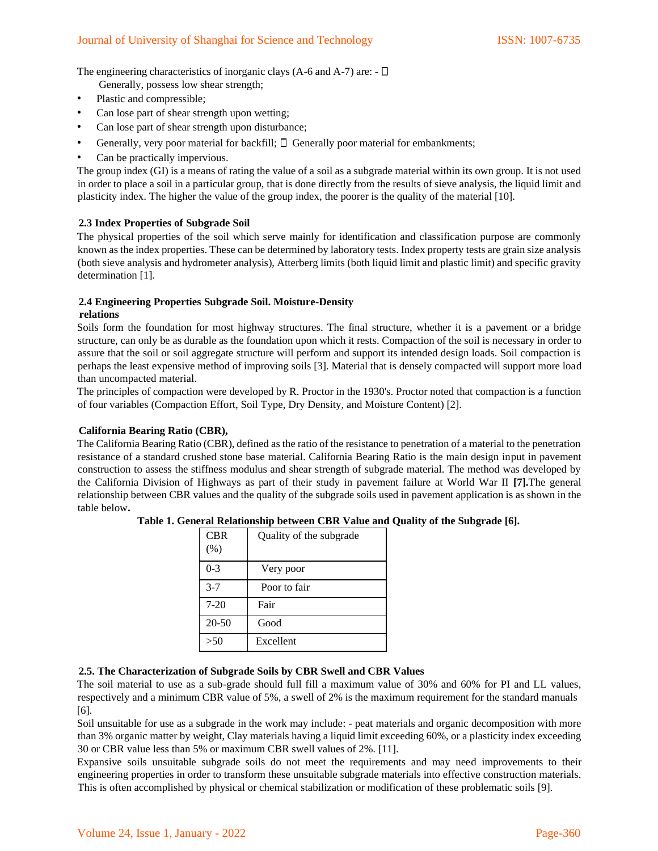The engineering characteristics of inorganic clays (A-6 and A-7) are:  $-\Box$ 

- Generally, possess low shear strength;
- Plastic and compressible;
- Can lose part of shear strength upon wetting;
- Can lose part of shear strength upon disturbance;
- Generally, very poor material for backfill;  $\Box$  Generally poor material for embankments;
- Can be practically impervious.

The group index (GI) is a means of rating the value of a soil as a subgrade material within its own group. It is not used in order to place a soil in a particular group, that is done directly from the results of sieve analysis, the liquid limit and plasticity index. The higher the value of the group index, the poorer is the quality of the material [10].

### **2.3 Index Properties of Subgrade Soil**

The physical properties of the soil which serve mainly for identification and classification purpose are commonly known as the index properties. These can be determined by laboratory tests. Index property tests are grain size analysis (both sieve analysis and hydrometer analysis), Atterberg limits (both liquid limit and plastic limit) and specific gravity determination [1].

### **2.4 Engineering Properties Subgrade Soil. Moisture-Density**

#### **relations**

Soils form the foundation for most highway structures. The final structure, whether it is a pavement or a bridge structure, can only be as durable as the foundation upon which it rests. Compaction of the soil is necessary in order to assure that the soil or soil aggregate structure will perform and support its intended design loads. Soil compaction is perhaps the least expensive method of improving soils [3]. Material that is densely compacted will support more load than uncompacted material.

The principles of compaction were developed by R. Proctor in the 1930's. Proctor noted that compaction is a function of four variables (Compaction Effort, Soil Type, Dry Density, and Moisture Content) [2].

#### **California Bearing Ratio (CBR),**

The California Bearing Ratio (CBR), defined as the ratio of the resistance to penetration of a material to the penetration resistance of a standard crushed stone base material. California Bearing Ratio is the main design input in pavement construction to assess the stiffness modulus and shear strength of subgrade material. The method was developed by the California Division of Highways as part of their study in pavement failure at World War II **[7].**The general relationship between CBR values and the quality of the subgrade soils used in pavement application is as shown in the table below**.** 

| <b>CBR</b> | Quality of the subgrade |  |  |  |  |  |
|------------|-------------------------|--|--|--|--|--|
| (% )       |                         |  |  |  |  |  |
| $0 - 3$    | Very poor               |  |  |  |  |  |
| $3 - 7$    | Poor to fair            |  |  |  |  |  |
| $7-20$     | Fair                    |  |  |  |  |  |
| $20 - 50$  | Good                    |  |  |  |  |  |
| >50        | Excellent               |  |  |  |  |  |

**Table 1. General Relationship between CBR Value and Quality of the Subgrade [6].** 

#### **2.5. The Characterization of Subgrade Soils by CBR Swell and CBR Values**

The soil material to use as a sub-grade should full fill a maximum value of 30% and 60% for PI and LL values, respectively and a minimum CBR value of 5%, a swell of 2% is the maximum requirement for the standard manuals [6].

Soil unsuitable for use as a subgrade in the work may include: - peat materials and organic decomposition with more than 3% organic matter by weight, Clay materials having a liquid limit exceeding 60%, or a plasticity index exceeding 30 or CBR value less than 5% or maximum CBR swell values of 2%. [11].

Expansive soils unsuitable subgrade soils do not meet the requirements and may need improvements to their engineering properties in order to transform these unsuitable subgrade materials into effective construction materials. This is often accomplished by physical or chemical stabilization or modification of these problematic soils [9].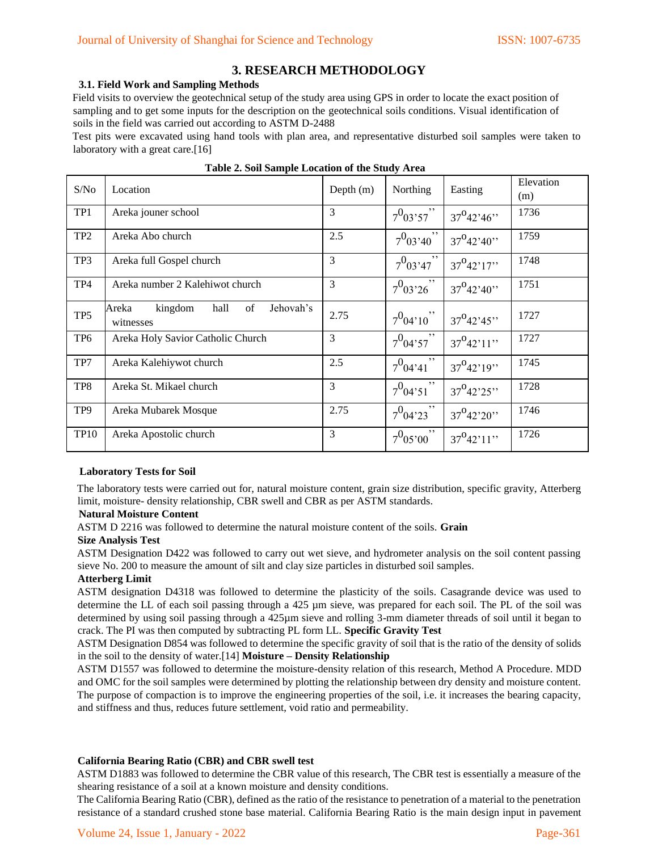# **3. RESEARCH METHODOLOGY**

#### **3.1. Field Work and Sampling Methods**

Field visits to overview the geotechnical setup of the study area using GPS in order to locate the exact position of sampling and to get some inputs for the description on the geotechnical soils conditions. Visual identification of soils in the field was carried out according to ASTM D-2488

Test pits were excavated using hand tools with plan area, and representative disturbed soil samples were taken to laboratory with a great care.[16]

| S/No            | Location                                                 | Depth $(m)$ | Northing       | Easting                            | Elevation<br>(m) |
|-----------------|----------------------------------------------------------|-------------|----------------|------------------------------------|------------------|
| TP1             | Areka jouner school                                      | 3           | $7^0$ 03'57"   | $37^042'46''$                      | 1736             |
| TP <sub>2</sub> | Areka Abo church                                         | 2.5         | $7^{0}$ 03'40" | $37^{\circ}42^{\cdot}40^{\cdot}$   | 1759             |
| TP3             | Areka full Gospel church                                 | 3           | $7^{0}$ 03'47" | $37^{\circ}42^{\prime}17^{\prime}$ | 1748             |
| TP4             | Areka number 2 Kalehiwot church                          | 3           | $7^{0}$ 03'26" | $37^{0}42'40''$                    | 1751             |
| TP <sub>5</sub> | Jehovah's<br>kingdom<br>hall<br>of<br>Areka<br>witnesses | 2.75        | $7^{0}04'10'$  | $37^{0}42'45''$                    | 1727             |
| TP <sub>6</sub> | Areka Holy Savior Catholic Church                        | 3           | $7^0$ 04'57"   | $37^{0}42'11''$                    | 1727             |
| TP7             | Areka Kalehiywot church                                  | 2.5         | $7^0$ 04'41"   | $37^{0}42'19''$                    | 1745             |
| TP8             | Areka St. Mikael church                                  | 3           | $7^{0}04'51$ " | $37^042'25''$                      | 1728             |
| TP <sub>9</sub> | Areka Mubarek Mosque                                     | 2.75        | $7^0$ 04'23"   | $37^{0}42'20''$                    | 1746             |
| <b>TP10</b>     | Areka Apostolic church                                   | 3           | $7^{0}$ 05'00" | $37^{0}42'11'$                     | 1726             |

|  |  |  |  |  | Table 2. Soil Sample Location of the Study Area |
|--|--|--|--|--|-------------------------------------------------|
|--|--|--|--|--|-------------------------------------------------|

#### **Laboratory Tests for Soil**

The laboratory tests were carried out for, natural moisture content, grain size distribution, specific gravity, Atterberg limit, moisture- density relationship, CBR swell and CBR as per ASTM standards.

#### **Natural Moisture Content**

ASTM D 2216 was followed to determine the natural moisture content of the soils. **Grain** 

#### **Size Analysis Test**

ASTM Designation D422 was followed to carry out wet sieve, and hydrometer analysis on the soil content passing sieve No. 200 to measure the amount of silt and clay size particles in disturbed soil samples.

#### **Atterberg Limit**

ASTM designation D4318 was followed to determine the plasticity of the soils. Casagrande device was used to determine the LL of each soil passing through a 425 µm sieve, was prepared for each soil. The PL of the soil was determined by using soil passing through a 425µm sieve and rolling 3-mm diameter threads of soil until it began to crack. The PI was then computed by subtracting PL form LL. **Specific Gravity Test** 

ASTM Designation D854 was followed to determine the specific gravity of soil that is the ratio of the density of solids in the soil to the density of water.[14] **Moisture – Density Relationship** 

ASTM D1557 was followed to determine the moisture-density relation of this research, Method A Procedure. MDD and OMC for the soil samples were determined by plotting the relationship between dry density and moisture content. The purpose of compaction is to improve the engineering properties of the soil, i.e. it increases the bearing capacity, and stiffness and thus, reduces future settlement, void ratio and permeability.

#### **California Bearing Ratio (CBR) and CBR swell test**

ASTM D1883 was followed to determine the CBR value of this research, The CBR test is essentially a measure of the shearing resistance of a soil at a known moisture and density conditions.

The California Bearing Ratio (CBR), defined as the ratio of the resistance to penetration of a material to the penetration resistance of a standard crushed stone base material. California Bearing Ratio is the main design input in pavement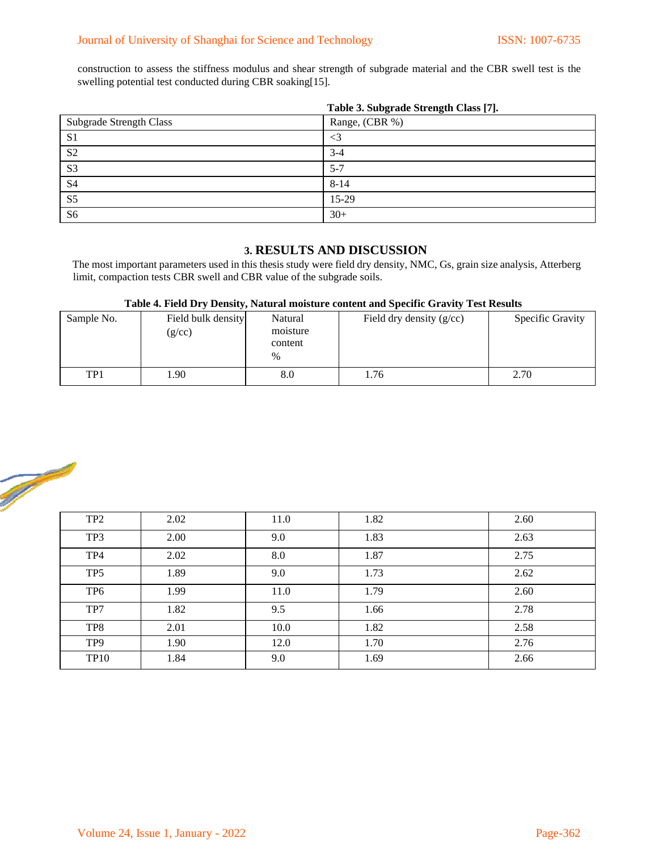construction to assess the stiffness modulus and shear strength of subgrade material and the CBR swell test is the swelling potential test conducted during CBR soaking[15].

|                                | Table 3. Subgrade Strength Class [7]. |
|--------------------------------|---------------------------------------|
| <b>Subgrade Strength Class</b> | Range, (CBR %)                        |
| S <sub>1</sub>                 | $\leq$ 3                              |
| S <sub>2</sub>                 | $3-4$                                 |
| S <sub>3</sub>                 | $5 - 7$                               |
| S <sub>4</sub>                 | $8 - 14$                              |
| S <sub>5</sub>                 | 15-29                                 |
| S <sub>6</sub>                 | $30+$                                 |

**Table 3. Subgrade Strength Class [7].** 

# **3. RESULTS AND DISCUSSION**

The most important parameters used in this thesis study were field dry density, NMC, Gs, grain size analysis, Atterberg limit, compaction tests CBR swell and CBR value of the subgrade soils.

|  | Table 4. Field Dry Density, Natural moisture content and Specific Gravity Test Results |  |  |
|--|----------------------------------------------------------------------------------------|--|--|
|--|----------------------------------------------------------------------------------------|--|--|

| Sample No. | Field bulk density<br>(g/cc) | Natural<br>moisture<br>content<br>$\%$ | Field dry density $(g/cc)$ | <b>Specific Gravity</b> |
|------------|------------------------------|----------------------------------------|----------------------------|-------------------------|
| TP1        | .90                          | 8.0                                    | 1.76                       | 2.70                    |



| TP <sub>2</sub> | 2.02 | 11.0 | 1.82 | 2.60 |
|-----------------|------|------|------|------|
| TP3             | 2.00 | 9.0  | 1.83 | 2.63 |
| TP4             | 2.02 | 8.0  | 1.87 | 2.75 |
| TP <sub>5</sub> | 1.89 | 9.0  | 1.73 | 2.62 |
| TP <sub>6</sub> | 1.99 | 11.0 | 1.79 | 2.60 |
| TP7             | 1.82 | 9.5  | 1.66 | 2.78 |
| TP8             | 2.01 | 10.0 | 1.82 | 2.58 |
| TP <sub>9</sub> | 1.90 | 12.0 | 1.70 | 2.76 |
| <b>TP10</b>     | 1.84 | 9.0  | 1.69 | 2.66 |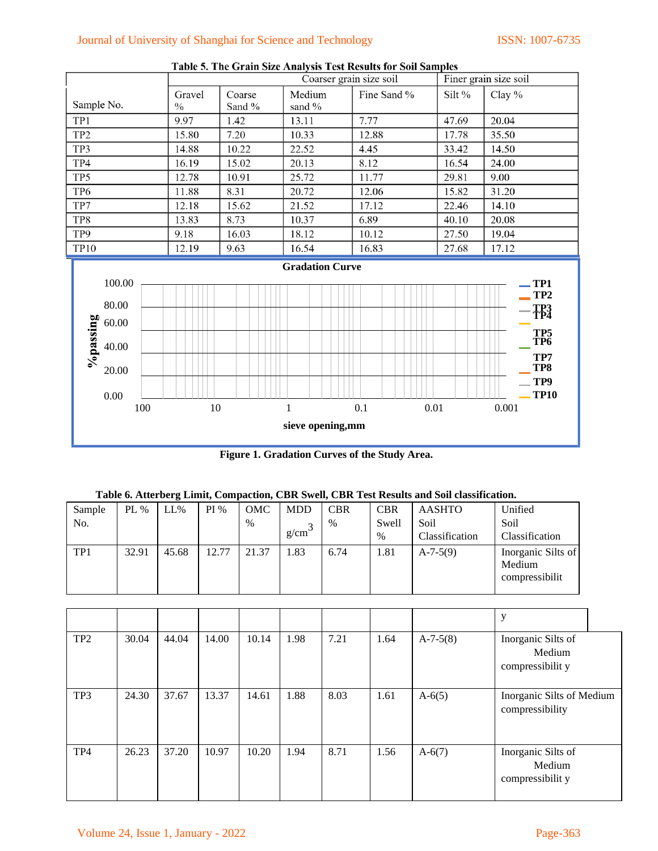# Journal of University of Shanghai for Science and Technology ISSN: 1007-6735



Table 5. The Grain Size Analysis Test Results for Soil Samples

**Figure 1. Gradation Curves of the Study Area.** 

| Sample | PL $%$ | $LL\%$ | PI%   | OMC   | <b>MDD</b> | CBR  | <b>CBR</b> | AASHTO         | Unified                                        |
|--------|--------|--------|-------|-------|------------|------|------------|----------------|------------------------------------------------|
| No.    |        |        |       | $\%$  | $\sim$     | $\%$ | Swell      | Soil           | Soil                                           |
|        |        |        |       |       | g/cm       |      | $\%$       | Classification | Classification                                 |
| TP1    | 32.91  | 45.68  | 12.77 | 21.37 | 1.83       | 6.74 | 1.81       | $A-7-5(9)$     | Inorganic Silts of<br>Medium<br>compressibilit |

|                 |       |       |       |       |      |      |      |            | y                                                |  |
|-----------------|-------|-------|-------|-------|------|------|------|------------|--------------------------------------------------|--|
| TP <sub>2</sub> | 30.04 | 44.04 | 14.00 | 10.14 | 1.98 | 7.21 | 1.64 | $A-7-5(8)$ | Inorganic Silts of<br>Medium<br>compressibilit y |  |
| TP3             | 24.30 | 37.67 | 13.37 | 14.61 | 1.88 | 8.03 | 1.61 | $A-6(5)$   | Inorganic Silts of Medium<br>compressibility     |  |
| TP4             | 26.23 | 37.20 | 10.97 | 10.20 | 1.94 | 8.71 | 1.56 | $A-6(7)$   | Inorganic Silts of<br>Medium<br>compressibilit y |  |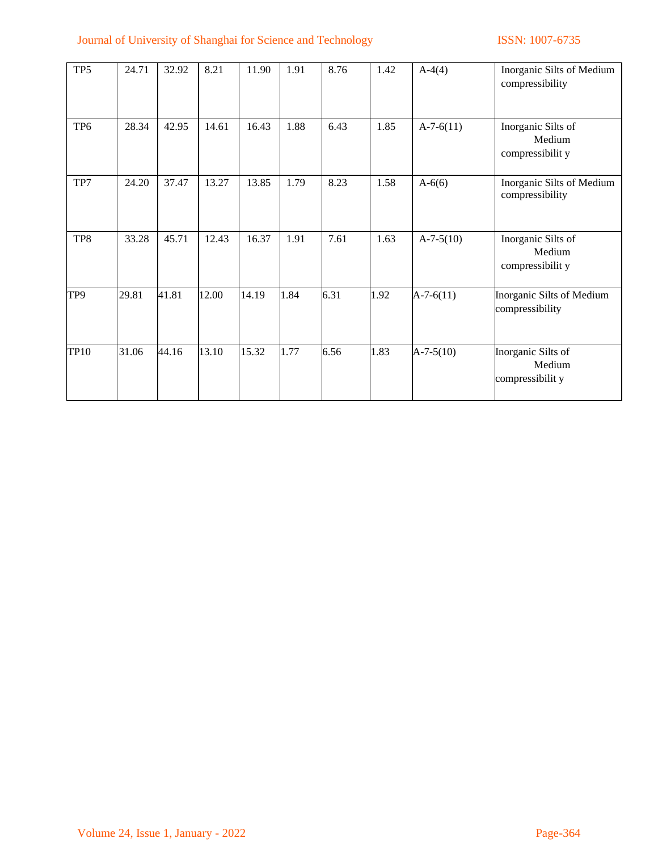# Journal of University of Shanghai for Science and Technology ISSN: 1007-6735

| TP <sub>5</sub> | 24.71 | 32.92 | 8.21  | 11.90 | 1.91 | 8.76 | 1.42 | $A-4(4)$    | Inorganic Silts of Medium<br>compressibility     |
|-----------------|-------|-------|-------|-------|------|------|------|-------------|--------------------------------------------------|
| TP <sub>6</sub> | 28.34 | 42.95 | 14.61 | 16.43 | 1.88 | 6.43 | 1.85 | $A-7-6(11)$ | Inorganic Silts of<br>Medium<br>compressibilit y |
| TP7             | 24.20 | 37.47 | 13.27 | 13.85 | 1.79 | 8.23 | 1.58 | $A - 6(6)$  | Inorganic Silts of Medium<br>compressibility     |
| TP8             | 33.28 | 45.71 | 12.43 | 16.37 | 1.91 | 7.61 | 1.63 | $A-7-5(10)$ | Inorganic Silts of<br>Medium<br>compressibilit y |
| TP9             | 29.81 | 41.81 | 12.00 | 14.19 | 1.84 | 6.31 | 1.92 | $A-7-6(11)$ | Inorganic Silts of Medium<br>compressibility     |
| <b>TP10</b>     | 31.06 | 44.16 | 13.10 | 15.32 | 1.77 | 6.56 | 1.83 | $A-7-5(10)$ | Inorganic Silts of<br>Medium<br>compressibilit y |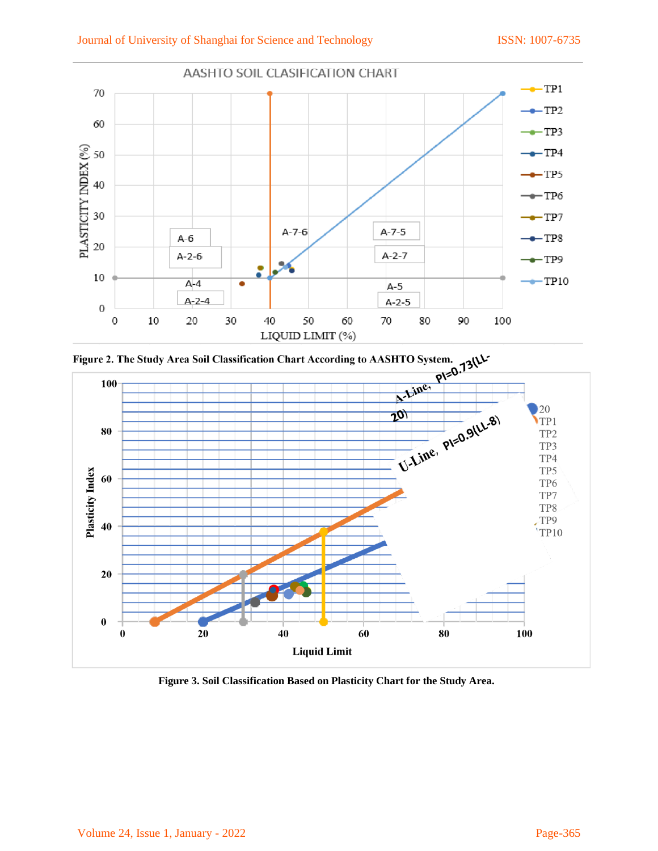



**Figure 3. Soil Classification Based on Plasticity Chart for the Study Area.**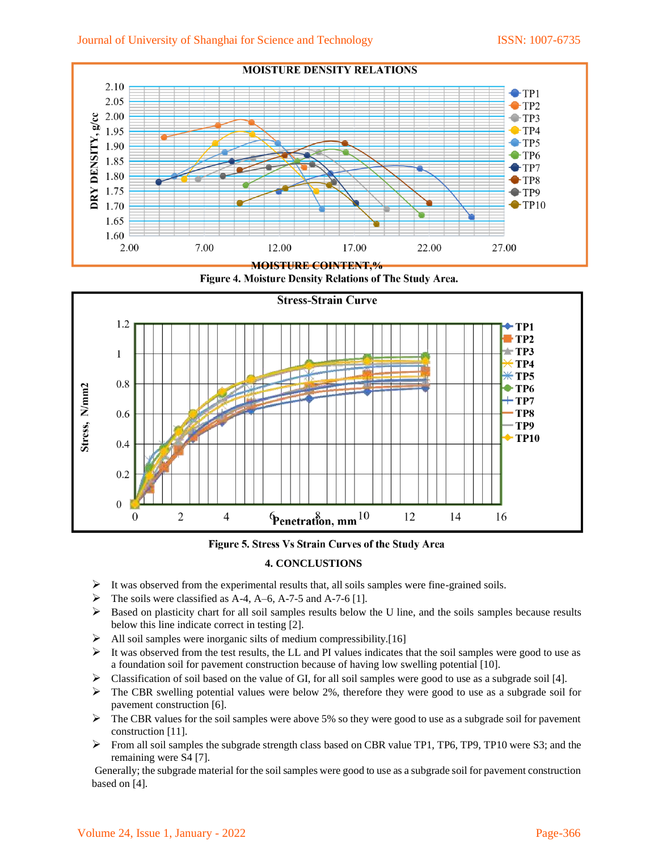





Figure 5. Stress Vs Strain Curves of the Study Area

# **4. CONCLUSTIONS**

- $\triangleright$  It was observed from the experimental results that, all soils samples were fine-grained soils.
- $\triangleright$  The soils were classified as A-4, A-6, A-7-5 and A-7-6 [1].
- $\triangleright$  Based on plasticity chart for all soil samples results below the U line, and the soils samples because results below this line indicate correct in testing [2].
- $\triangleright$  All soil samples were inorganic silts of medium compressibility.[16]
- $\triangleright$  It was observed from the test results, the LL and PI values indicates that the soil samples were good to use as a foundation soil for pavement construction because of having low swelling potential [10].
- $\triangleright$  Classification of soil based on the value of GI, for all soil samples were good to use as a subgrade soil [4].
- $\triangleright$  The CBR swelling potential values were below 2%, therefore they were good to use as a subgrade soil for pavement construction [6].
- $\triangleright$  The CBR values for the soil samples were above 5% so they were good to use as a subgrade soil for pavement construction [11].
- ➢ From all soil samples the subgrade strength class based on CBR value TP1, TP6, TP9, TP10 were S3; and the remaining were S4 [7].

Generally; the subgrade material for the soil samples were good to use as a subgrade soil for pavement construction based on [4].